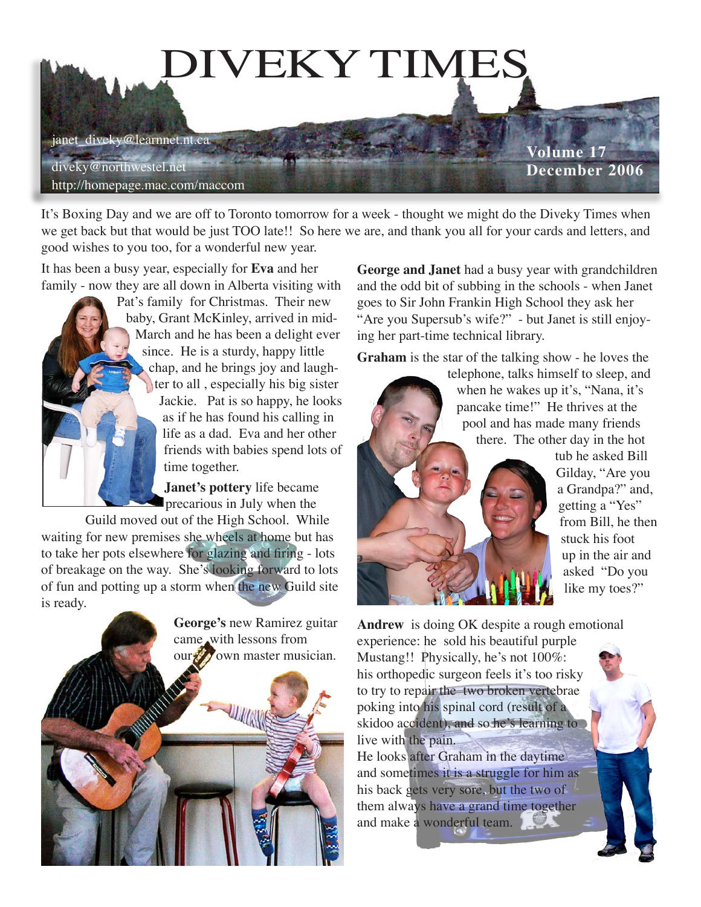

It's Boxing Day and we are off to Toronto tomorrow for a week - thought we might do the Diveky Times when we get back but that would be just TOO late!! So here we are, and thank you all for your cards and letters, and good wishes to you too, for a wonderful new year.

It has been a busy year, especially for **Eva** and her family - now they are all down in Alberta visiting with

> Pat's family for Christmas. Their new baby, Grant McKinley, arrived in mid-March and he has been a delight ever since. He is a sturdy, happy little chap, and he brings joy and laughter to all , especially his big sister Jackie. Pat is so happy, he looks as if he has found his calling in life as a dad. Eva and her other friends with babies spend lots of time together.

> > **Janet's pottery** life became precarious in July when the

Guild moved out of the High School. While waiting for new premises she wheels at home but has to take her pots elsewhere for glazing and firing - lots of breakage on the way. She's looking forward to lots of fun and potting up a storm when the new Guild site is ready.



**George and Janet** had a busy year with grandchildren and the odd bit of subbing in the schools - when Janet goes to Sir John Frankin High School they ask her "Are you Supersub's wife?" - but Janet is still enjoying her part-time technical library.

**Graham** is the star of the talking show - he loves the

telephone, talks himself to sleep, and when he wakes up it's, "Nana, it's pancake time!" He thrives at the pool and has made many friends there. The other day in the hot



tub he asked Bill Gilday, "Are you a Grandpa?" and, getting a "Yes" from Bill, he then stuck his foot up in the air and asked "Do you like my toes?"

**Andrew** is doing OK despite a rough emotional experience: he sold his beautiful purple Mustang!! Physically, he's not 100%: his orthopedic surgeon feels it's too risky to try to repair the two broken vertebrae poking into his spinal cord (result of a skidoo accident), and so he's learning to live with the pain. He looks after Graham in the daytime

and sometimes it is a struggle for him as his back gets very sore, but the two of them always have a grand time together and make a wonderful team.